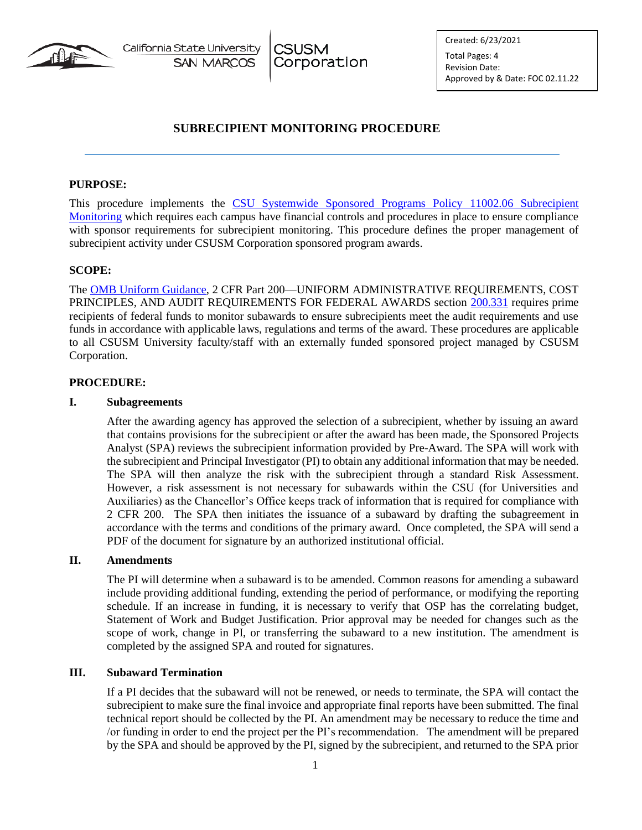

California State University **SAN MARCOS** 

**CSUSM** Corporation Created: 6/23/2021 Total Pages: 4

Revision Date: Approved by & Date: FOC 02.11.22

# **SUBRECIPIENT MONITORING PROCEDURE**

#### **PURPOSE:**

This procedure implements the CSU Systemwide Sponsored Programs Policy [11002.06 Subrecipient](https://calstate.policystat.com/policy/8543299/latest/)  [Monitoring](https://calstate.policystat.com/policy/8543299/latest/) which requires each campus have financial controls and procedures in place to ensure compliance with sponsor requirements for subrecipient monitoring. This procedure defines the proper management of subrecipient activity under CSUSM Corporation sponsored program awards.

### **SCOPE:**

The [OMB Uniform Guidance,](https://www.ecfr.gov/cgi-bin/text-idx?SID=cb1561d39074c317ee949a5cfb0e356f&node=2:1.1.2.2.1&rgn=div5) 2 CFR Part 200—UNIFORM ADMINISTRATIVE REQUIREMENTS, COST PRINCIPLES, AND AUDIT REQUIREMENTS FOR FEDERAL AWARDS section [200.331](https://www.ecfr.gov/cgi-bin/text-idx?SID=713e0811a413406d912b5ac90408c694&mc=true&node=sg2.1.200_1330.sg3&rgn=div7) requires prime recipients of federal funds to monitor subawards to ensure subrecipients meet the audit requirements and use funds in accordance with applicable laws, regulations and terms of the award. These procedures are applicable to all CSUSM University faculty/staff with an externally funded sponsored project managed by CSUSM Corporation.

#### **PROCEDURE:**

#### **I. Subagreements**

After the awarding agency has approved the selection of a subrecipient, whether by issuing an award that contains provisions for the subrecipient or after the award has been made, the Sponsored Projects Analyst (SPA) reviews the subrecipient information provided by Pre-Award. The SPA will work with the subrecipient and Principal Investigator (PI) to obtain any additional information that may be needed. The SPA will then analyze the risk with the subrecipient through a standard Risk Assessment. However, a risk assessment is not necessary for subawards within the CSU (for Universities and Auxiliaries) as the Chancellor's Office keeps track of information that is required for compliance with 2 CFR 200. The SPA then initiates the issuance of a subaward by drafting the subagreement in accordance with the terms and conditions of the primary award. Once completed, the SPA will send a PDF of the document for signature by an authorized institutional official.

#### **II. Amendments**

The PI will determine when a subaward is to be amended. Common reasons for amending a subaward include providing additional funding, extending the period of performance, or modifying the reporting schedule. If an increase in funding, it is necessary to verify that OSP has the correlating budget, Statement of Work and Budget Justification. Prior approval may be needed for changes such as the scope of work, change in PI, or transferring the subaward to a new institution. The amendment is completed by the assigned SPA and routed for signatures.

#### **III. Subaward Termination**

If a PI decides that the subaward will not be renewed, or needs to terminate, the SPA will contact the subrecipient to make sure the final invoice and appropriate final reports have been submitted. The final technical report should be collected by the PI. An amendment may be necessary to reduce the time and /or funding in order to end the project per the PI's recommendation. The amendment will be prepared by the SPA and should be approved by the PI, signed by the subrecipient, and returned to the SPA prior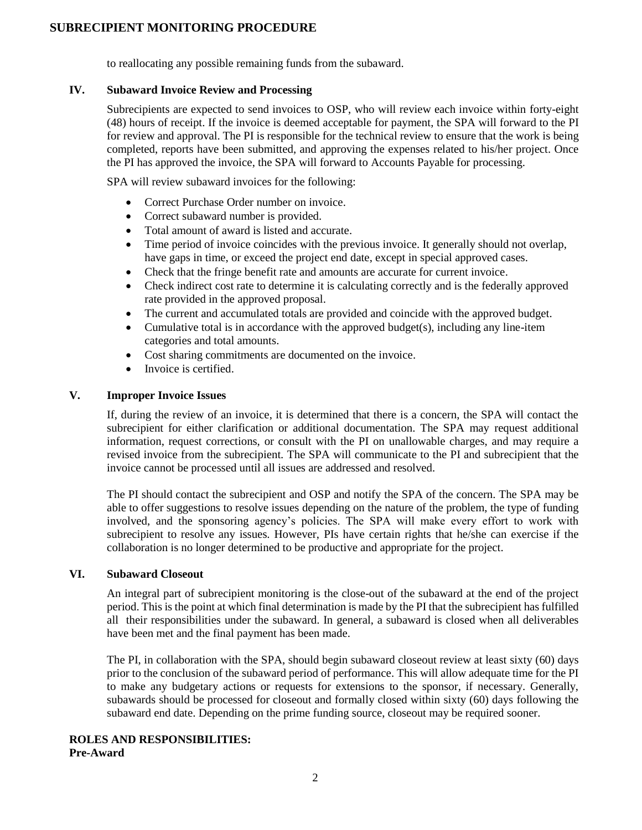### **SUBRECIPIENT MONITORING PROCEDURE**

to reallocating any possible remaining funds from the subaward.

#### **IV. Subaward Invoice Review and Processing**

Subrecipients are expected to send invoices to OSP, who will review each invoice within forty-eight (48) hours of receipt. If the invoice is deemed acceptable for payment, the SPA will forward to the PI for review and approval. The PI is responsible for the technical review to ensure that the work is being completed, reports have been submitted, and approving the expenses related to his/her project. Once the PI has approved the invoice, the SPA will forward to Accounts Payable for processing.

SPA will review subaward invoices for the following:

- Correct Purchase Order number on invoice.
- Correct subaward number is provided.
- Total amount of award is listed and accurate.
- Time period of invoice coincides with the previous invoice. It generally should not overlap, have gaps in time, or exceed the project end date, except in special approved cases.
- Check that the fringe benefit rate and amounts are accurate for current invoice.
- Check indirect cost rate to determine it is calculating correctly and is the federally approved rate provided in the approved proposal.
- The current and accumulated totals are provided and coincide with the approved budget.
- Cumulative total is in accordance with the approved budget(s), including any line-item categories and total amounts.
- Cost sharing commitments are documented on the invoice.
- Invoice is certified.

#### **V. Improper Invoice Issues**

If, during the review of an invoice, it is determined that there is a concern, the SPA will contact the subrecipient for either clarification or additional documentation. The SPA may request additional information, request corrections, or consult with the PI on unallowable charges, and may require a revised invoice from the subrecipient. The SPA will communicate to the PI and subrecipient that the invoice cannot be processed until all issues are addressed and resolved.

The PI should contact the subrecipient and OSP and notify the SPA of the concern. The SPA may be able to offer suggestions to resolve issues depending on the nature of the problem, the type of funding involved, and the sponsoring agency's policies. The SPA will make every effort to work with subrecipient to resolve any issues. However, PIs have certain rights that he/she can exercise if the collaboration is no longer determined to be productive and appropriate for the project.

#### **VI. Subaward Closeout**

An integral part of subrecipient monitoring is the close-out of the subaward at the end of the project period. This is the point at which final determination is made by the PI that the subrecipient has fulfilled all their responsibilities under the subaward. In general, a subaward is closed when all deliverables have been met and the final payment has been made.

The PI, in collaboration with the SPA, should begin subaward closeout review at least sixty (60) days prior to the conclusion of the subaward period of performance. This will allow adequate time for the PI to make any budgetary actions or requests for extensions to the sponsor, if necessary. Generally, subawards should be processed for closeout and formally closed within sixty (60) days following the subaward end date. Depending on the prime funding source, closeout may be required sooner.

#### **ROLES AND RESPONSIBILITIES: Pre-Award**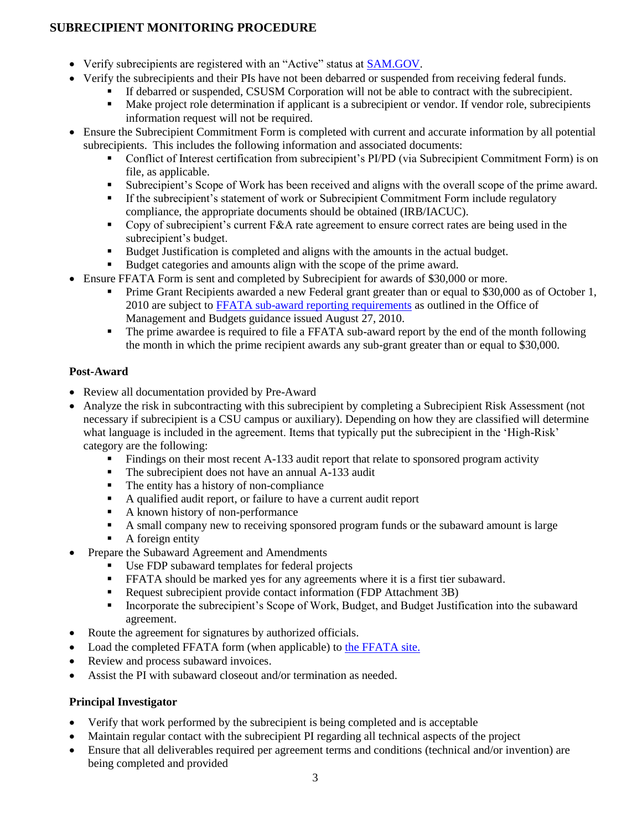# **SUBRECIPIENT MONITORING PROCEDURE**

- Verify subrecipients are registered with an "Active" status at [SAM.GOV.](https://sam.gov/SAM/)
- Verify the subrecipients and their PIs have not been debarred or suspended from receiving federal funds.
	- If debarred or suspended, CSUSM Corporation will not be able to contract with the subrecipient.<br>■ Make project role determination if applicant is a subrecipient or vendor. If vendor role, subrecipie
		- Make project role determination if applicant is a subrecipient or vendor. If vendor role, subrecipients information request will not be required.
- Ensure the Subrecipient Commitment Form is completed with current and accurate information by all potential subrecipients. This includes the following information and associated documents:
	- Conflict of Interest certification from subrecipient's PI/PD (via Subrecipient Commitment Form) is on file, as applicable.
	- Subrecipient's Scope of Work has been received and aligns with the overall scope of the prime award.
	- If the subrecipient's statement of work or Subrecipient Commitment Form include regulatory compliance, the appropriate documents should be obtained (IRB/IACUC).
	- Copy of subrecipient's current F&A rate agreement to ensure correct rates are being used in the subrecipient's budget.
	- Budget Justification is completed and aligns with the amounts in the actual budget.
	- Budget categories and amounts align with the scope of the prime award.
- Ensure FFATA Form is sent and completed by Subrecipient for awards of \$30,000 or more.
	- Prime Grant Recipients awarded a new Federal grant greater than or equal to \$30,000 as of October 1, 2010 are subject to [FFATA sub-award reporting requirements](https://www.fsrs.gov/#a-faqs) as outlined in the Office of Management and Budgets guidance issued August 27, 2010.
	- The prime awardee is required to file a FFATA sub-award report by the end of the month following the month in which the prime recipient awards any sub-grant greater than or equal to \$30,000.

# **Post-Award**

- Review all documentation provided by Pre-Award
- Analyze the risk in subcontracting with this subrecipient by completing a Subrecipient Risk Assessment (not necessary if subrecipient is a CSU campus or auxiliary). Depending on how they are classified will determine what language is included in the agreement. Items that typically put the subrecipient in the 'High-Risk' category are the following:
	- Findings on their most recent A-133 audit report that relate to sponsored program activity
	- The subrecipient does not have an annual A-133 audit
	- The entity has a history of non-compliance
	- A qualified audit report, or failure to have a current audit report
	- A known history of non-performance
	- A small company new to receiving sponsored program funds or the subaward amount is large
	- $\blacksquare$  A foreign entity
- Prepare the Subaward Agreement and Amendments
	- Use FDP subaward templates for federal projects
	- FFATA should be marked yes for any agreements where it is a first tier subaward.
	- Request subrecipient provide contact information (FDP Attachment 3B)
	- Incorporate the subrecipient's Scope of Work, Budget, and Budget Justification into the subaward agreement.
- Route the agreement for signatures by authorized officials.
- Load the completed FFATA form (when applicable) to [the FFATA site.](https://www.fsrs.gov/)
- Review and process subaward invoices.
- Assist the PI with subaward closeout and/or termination as needed.

# **Principal Investigator**

- Verify that work performed by the subrecipient is being completed and is acceptable
- Maintain regular contact with the subrecipient PI regarding all technical aspects of the project
- Ensure that all deliverables required per agreement terms and conditions (technical and/or invention) are being completed and provided